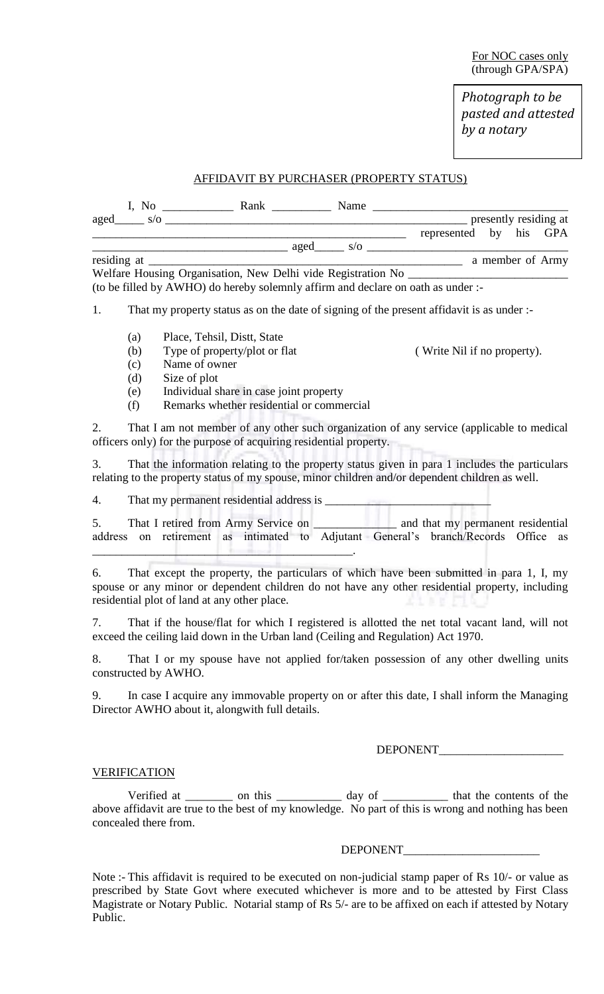*Photograph to be pasted and attested by a notary*

# AFFIDAVIT BY PURCHASER (PROPERTY STATUS)

| I, No       |     | Rank |      | Name |                        |  |                       |
|-------------|-----|------|------|------|------------------------|--|-----------------------|
| aged        | S/O |      |      |      |                        |  | presently residing at |
|             |     |      |      |      | represented by his GPA |  |                       |
|             |     |      | aged | S/O  |                        |  |                       |
| residing at |     |      |      |      |                        |  | a member of Army      |

Welfare Housing Organisation, New Delhi vide Registration No \_\_\_\_\_\_\_\_\_\_\_\_\_\_\_\_\_\_\_ (to be filled by AWHO) do hereby solemnly affirm and declare on oath as under :-

1. That my property status as on the date of signing of the present affidavit is as under :-

- (a) Place, Tehsil, Distt, State
- (b) Type of property/plot or flat ( Write Nil if no property).
- (c) Name of owner
- (d) Size of plot
- (e) Individual share in case joint property
- (f) Remarks whether residential or commercial

2. That I am not member of any other such organization of any service (applicable to medical officers only) for the purpose of acquiring residential property.

3. That the information relating to the property status given in para 1 includes the particulars relating to the property status of my spouse, minor children and/or dependent children as well.

4. That my permanent residential address is  $\qquad$ 

5. That I retired from Army Service on \_\_\_\_\_\_\_\_\_\_\_\_\_\_\_\_\_ and that my permanent residential address on retirement as intimated to Adjutant General's branch/Records Office as \_\_\_\_\_\_\_\_\_\_\_\_\_\_\_\_\_\_\_\_\_\_\_\_\_\_\_\_\_\_\_\_\_\_\_\_\_\_\_\_\_\_\_\_.

6. That except the property, the particulars of which have been submitted in para 1, I, my spouse or any minor or dependent children do not have any other residential property, including residential plot of land at any other place.

7. That if the house/flat for which I registered is allotted the net total vacant land, will not exceed the ceiling laid down in the Urban land (Ceiling and Regulation) Act 1970.

8. That I or my spouse have not applied for/taken possession of any other dwelling units constructed by AWHO.

9. In case I acquire any immovable property on or after this date, I shall inform the Managing Director AWHO about it, alongwith full details.

DEPONENT\_\_\_\_\_\_\_\_\_\_\_\_\_\_\_\_\_\_\_\_\_

#### VERIFICATION

Verified at \_\_\_\_\_\_\_\_ on this \_\_\_\_\_\_\_\_\_\_\_ day of \_\_\_\_\_\_\_\_\_\_ that the contents of the above affidavit are true to the best of my knowledge. No part of this is wrong and nothing has been concealed there from.

DEPONENT\_\_\_\_\_\_\_\_\_\_\_\_\_\_\_\_\_\_\_\_\_\_\_

Note :- This affidavit is required to be executed on non-judicial stamp paper of Rs 10/- or value as prescribed by State Govt where executed whichever is more and to be attested by First Class Magistrate or Notary Public. Notarial stamp of Rs 5/- are to be affixed on each if attested by Notary Public.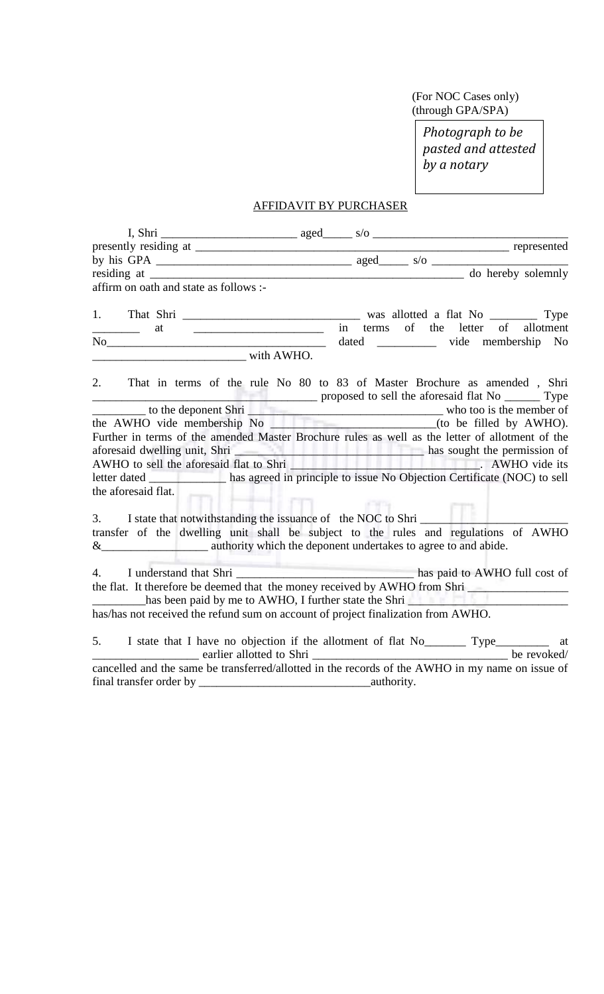(For NOC Cases only) (through GPA/SPA)

> *Photograph to be pasted and attested by a notary*

# AFFIDAVIT BY PURCHASER

| affirm on oath and state as follows :-                                                                                                                 |                                                                                                                                                                                                         |
|--------------------------------------------------------------------------------------------------------------------------------------------------------|---------------------------------------------------------------------------------------------------------------------------------------------------------------------------------------------------------|
|                                                                                                                                                        |                                                                                                                                                                                                         |
| <u> 1989 - Jan Bernard Bernard, mension bernarda dan personal dan personal dan personal dan personal dan personal </u><br><u>_____________</u> _<br>at | in terms of the letter of allotment                                                                                                                                                                     |
|                                                                                                                                                        | No vide membership No                                                                                                                                                                                   |
|                                                                                                                                                        |                                                                                                                                                                                                         |
|                                                                                                                                                        |                                                                                                                                                                                                         |
|                                                                                                                                                        | 2. That in terms of the rule No 80 to 83 of Master Brochure as amended, Shri<br>to the deponent Shri proposed to sell the aforesaid flat No Type<br>the AWHO vide membership No (to be filled by AWHO). |
|                                                                                                                                                        |                                                                                                                                                                                                         |
|                                                                                                                                                        | Further in terms of the amended Master Brochure rules as well as the letter of allotment of the                                                                                                         |
|                                                                                                                                                        |                                                                                                                                                                                                         |
|                                                                                                                                                        | aforesaid dwelling unit, Shri has sought the permission of AWHO to sell the aforesaid flat to Shri has sought the permission of AWHO to sell the aforesaid flat to Shri has sought the permission of    |
|                                                                                                                                                        | letter dated ______________ has agreed in principle to issue No Objection Certificate (NOC) to sell                                                                                                     |
| the aforesaid flat.                                                                                                                                    |                                                                                                                                                                                                         |
| $-4-4$                                                                                                                                                 |                                                                                                                                                                                                         |
| 3. I state that notwithstanding the issuance of the NOC to Shri                                                                                        |                                                                                                                                                                                                         |
|                                                                                                                                                        | transfer of the dwelling unit shall be subject to the rules and regulations of AWHO                                                                                                                     |
|                                                                                                                                                        |                                                                                                                                                                                                         |
|                                                                                                                                                        |                                                                                                                                                                                                         |
|                                                                                                                                                        | the flat. It therefore be deemed that the money received by AWHO from Shri                                                                                                                              |
| has been paid by me to AWHO, I further state the Shri                                                                                                  |                                                                                                                                                                                                         |
| has/has not received the refund sum on account of project finalization from AWHO.                                                                      |                                                                                                                                                                                                         |
|                                                                                                                                                        |                                                                                                                                                                                                         |
|                                                                                                                                                        |                                                                                                                                                                                                         |
|                                                                                                                                                        |                                                                                                                                                                                                         |
|                                                                                                                                                        | cancelled and the same be transferred/allotted in the records of the AWHO in my name on issue of                                                                                                        |
|                                                                                                                                                        |                                                                                                                                                                                                         |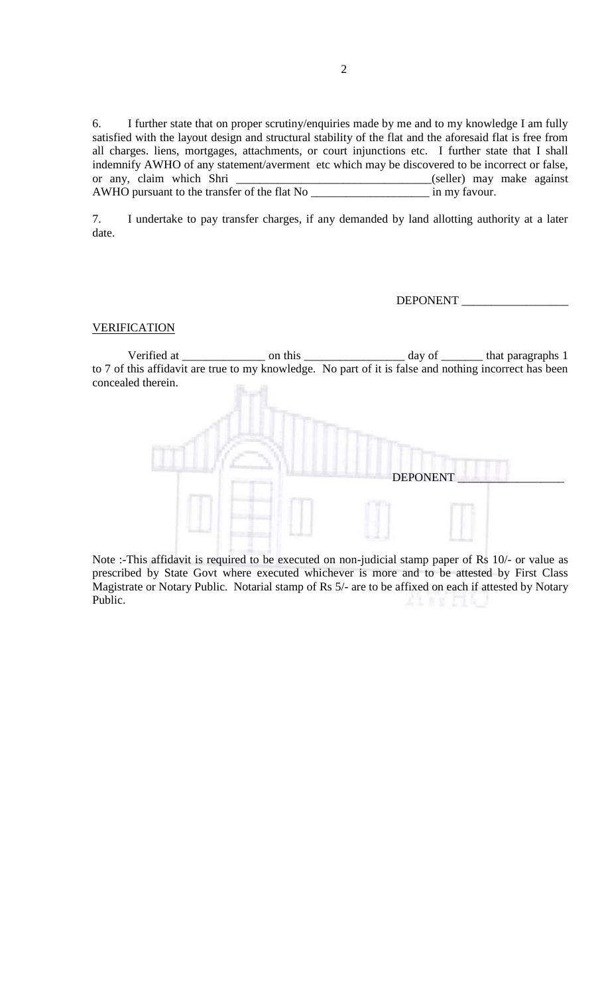6. I further state that on proper scrutiny/enquiries made by me and to my knowledge I am fully satisfied with the layout design and structural stability of the flat and the aforesaid flat is free from all charges. liens, mortgages, attachments, or court injunctions etc. I further state that I shall indemnify AWHO of any statement/averment etc which may be discovered to be incorrect or false, or any, claim which Shri \_\_\_\_\_\_\_\_\_\_\_\_\_\_\_\_\_\_\_\_\_\_\_\_\_\_\_\_\_\_\_(seller) may make against AWHO pursuant to the transfer of the flat No \_\_\_\_\_\_\_\_\_\_\_\_\_\_\_\_\_\_\_\_ in my favour.

7. I undertake to pay transfer charges, if any demanded by land allotting authority at a later date.

DEPONENT \_\_\_\_\_\_\_\_\_\_\_\_\_\_\_\_\_\_

### **VERIFICATION**

Verified at \_\_\_\_\_\_\_\_\_\_\_\_\_\_\_\_\_\_ on this \_\_\_\_\_\_\_\_\_\_\_\_\_\_\_\_\_\_\_\_\_ day of \_\_\_\_\_\_\_\_\_ that paragraphs 1 to 7 of this affidavit are true to my knowledge. No part of it is false and nothing incorrect has been concealed therein.



Note :-This affidavit is required to be executed on non-judicial stamp paper of Rs 10/- or value as prescribed by State Govt where executed whichever is more and to be attested by First Class Magistrate or Notary Public. Notarial stamp of Rs 5/- are to be affixed on each if attested by Notary Public.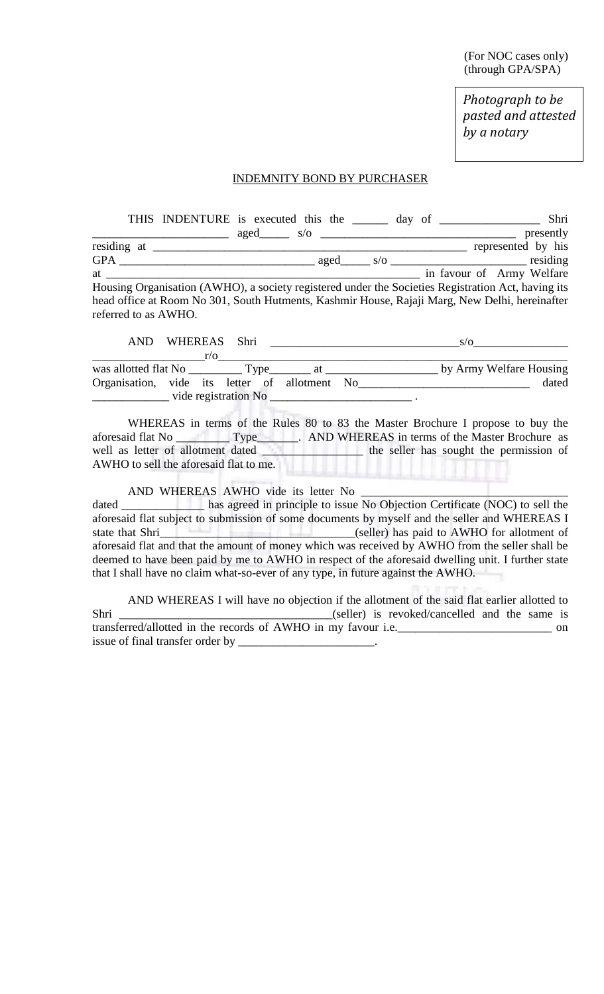(For NOC cases only) (through GPA/SPA)

*Photograph to be pasted and attested by a notary*

### INDEMNITY BOND BY PURCHASER

|                                                                                                                                                                                                                                 |                   |  |  | THIS INDENTURE is executed this the day of<br>Shri                                                 |
|---------------------------------------------------------------------------------------------------------------------------------------------------------------------------------------------------------------------------------|-------------------|--|--|----------------------------------------------------------------------------------------------------|
|                                                                                                                                                                                                                                 | $aged \qquad s/o$ |  |  | presently                                                                                          |
|                                                                                                                                                                                                                                 |                   |  |  | represented by his                                                                                 |
| GPA                                                                                                                                                                                                                             |                   |  |  |                                                                                                    |
| at the state of the state of the state of the state of the state of the state of the state of the state of the state of the state of the state of the state of the state of the state of the state of the state of the state of |                   |  |  | in favour of Army Welfare                                                                          |
|                                                                                                                                                                                                                                 |                   |  |  | Housing Organisation (AWHO), a society registered under the Societies Registration Act, having its |
|                                                                                                                                                                                                                                 |                   |  |  | head office at Room No 301, South Hutments, Kashmir House, Rajaji Marg, New Delhi, hereinafter     |
| referred to as AWHO.                                                                                                                                                                                                            |                   |  |  |                                                                                                    |

| AND.                                          |  |            | WHEREAS Shri |  |  |  | S/O                     |
|-----------------------------------------------|--|------------|--------------|--|--|--|-------------------------|
|                                               |  | $r/\Omega$ |              |  |  |  |                         |
|                                               |  |            |              |  |  |  | by Army Welfare Housing |
| Organisation, vide its letter of allotment No |  |            |              |  |  |  | dated                   |
| vide registration No                          |  |            |              |  |  |  |                         |

WHEREAS in terms of the Rules 80 to 83 the Master Brochure I propose to buy the aforesaid flat No Type<br>
Type<br>
Type<br>
AND WHEREAS in terms of the Master Brochure as<br>
the seller has sought the permission of  $\Box$  the seller has sought the permission of AWHO to sell the aforesaid flat to me.

## AND WHEREAS AWHO vide its letter No

dated \_\_\_\_\_\_\_\_\_\_\_\_\_ has agreed in principle to issue No Objection Certificate (NOC) to sell the aforesaid flat subject to submission of some documents by myself and the seller and WHEREAS I state that Shri\_\_\_\_\_\_\_\_\_\_\_\_\_\_\_\_\_\_\_\_\_\_\_\_\_\_\_\_\_\_\_\_\_(seller) has paid to AWHO for allotment of aforesaid flat and that the amount of money which was received by AWHO from the seller shall be deemed to have been paid by me to AWHO in respect of the aforesaid dwelling unit. I further state that I shall have no claim what-so-ever of any type, in future against the AWHO.

AND WHEREAS I will have no objection if the allotment of the said flat earlier allotted to Shri \_\_\_\_\_\_\_\_\_\_\_\_\_\_\_\_\_\_\_\_\_\_\_\_\_\_\_\_\_\_\_\_\_\_\_\_(seller) is revoked/cancelled and the same is transferred/allotted in the records of AWHO in my favour i.e.\_\_\_\_\_\_\_\_\_\_\_\_\_\_\_\_\_\_\_\_\_\_\_\_\_\_ on issue of final transfer order by \_\_\_\_\_\_\_\_\_\_\_\_\_\_\_\_\_\_\_\_\_\_\_.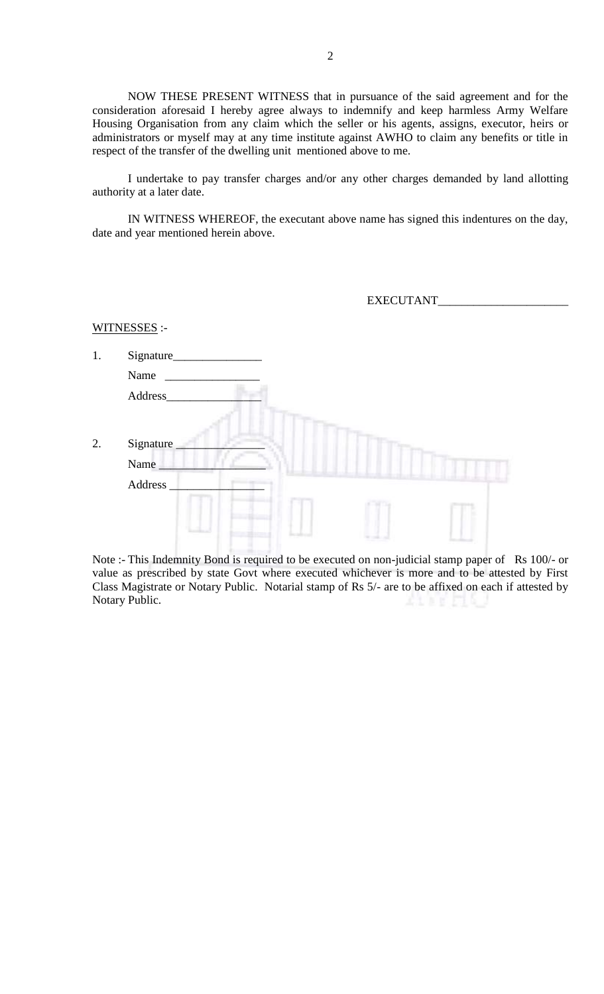NOW THESE PRESENT WITNESS that in pursuance of the said agreement and for the consideration aforesaid I hereby agree always to indemnify and keep harmless Army Welfare Housing Organisation from any claim which the seller or his agents, assigns, executor, heirs or administrators or myself may at any time institute against AWHO to claim any benefits or title in respect of the transfer of the dwelling unit mentioned above to me.

I undertake to pay transfer charges and/or any other charges demanded by land allotting authority at a later date.

IN WITNESS WHEREOF, the executant above name has signed this indentures on the day, date and year mentioned herein above.

| EXECUTANT |  |
|-----------|--|
|           |  |

WITNESSES :-

| 1. | Signature_     |  |  |
|----|----------------|--|--|
|    | Name           |  |  |
|    | Address_       |  |  |
|    |                |  |  |
| 2. | Signature_     |  |  |
|    | Name           |  |  |
|    | <b>Address</b> |  |  |
|    |                |  |  |
|    |                |  |  |

Note :- This Indemnity Bond is required to be executed on non-judicial stamp paper of Rs 100/- or value as prescribed by state Govt where executed whichever is more and to be attested by First Class Magistrate or Notary Public. Notarial stamp of Rs 5/- are to be affixed on each if attested by Notary Public.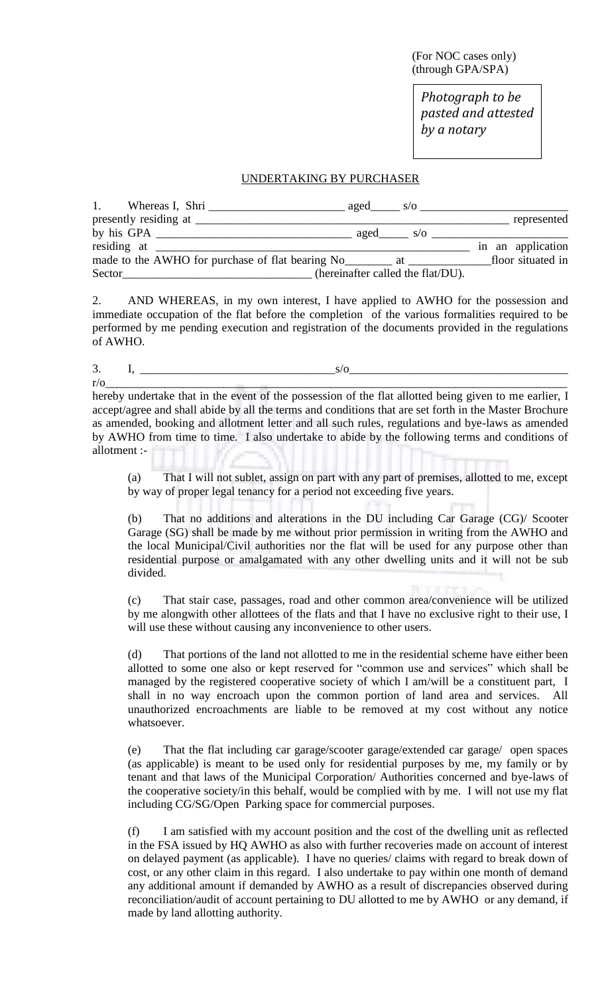(For NOC cases only) (through GPA/SPA)

*Photograph to be pasted and attested by a notary*

#### UNDERTAKING BY PURCHASER

| 1.     | Whereas I, Shri | $\frac{\text{aged}}{\text{sgd}}$ s/o $\frac{\text{g}}{\text{g}}$ |                   |
|--------|-----------------|------------------------------------------------------------------|-------------------|
|        |                 |                                                                  | represented       |
|        |                 | aged $s/\sigma$                                                  |                   |
|        |                 |                                                                  | in an application |
|        |                 |                                                                  | floor situated in |
| Sector |                 | (hereinafter called the flat/DU).                                |                   |

2. AND WHEREAS, in my own interest, I have applied to AWHO for the possession and immediate occupation of the flat before the completion of the various formalities required to be performed by me pending execution and registration of the documents provided in the regulations of AWHO.

3.  $I, \_$ 

 $r/\mathrm{o}$  and the set of the set of the set of the set of the set of the set of the set of the set of the set of the set of the set of the set of the set of the set of the set of the set of the set of the set of the set of hereby undertake that in the event of the possession of the flat allotted being given to me earlier, I accept/agree and shall abide by all the terms and conditions that are set forth in the Master Brochure as amended, booking and allotment letter and all such rules, regulations and bye-laws as amended by AWHO from time to time. I also undertake to abide by the following terms and conditions of allotment :-

(a) That I will not sublet, assign on part with any part of premises, allotted to me, except by way of proper legal tenancy for a period not exceeding five years.

(b) That no additions and alterations in the DU including Car Garage (CG)/ Scooter Garage (SG) shall be made by me without prior permission in writing from the AWHO and the local Municipal/Civil authorities nor the flat will be used for any purpose other than residential purpose or amalgamated with any other dwelling units and it will not be sub divided.

(c) That stair case, passages, road and other common area/convenience will be utilized by me alongwith other allottees of the flats and that I have no exclusive right to their use, I will use these without causing any inconvenience to other users.

(d) That portions of the land not allotted to me in the residential scheme have either been allotted to some one also or kept reserved for "common use and services" which shall be managed by the registered cooperative society of which I am/will be a constituent part, I shall in no way encroach upon the common portion of land area and services. All unauthorized encroachments are liable to be removed at my cost without any notice whatsoever.

(e) That the flat including car garage/scooter garage/extended car garage/ open spaces (as applicable) is meant to be used only for residential purposes by me, my family or by tenant and that laws of the Municipal Corporation/ Authorities concerned and bye-laws of the cooperative society/in this behalf, would be complied with by me. I will not use my flat including CG/SG/Open Parking space for commercial purposes.

(f) I am satisfied with my account position and the cost of the dwelling unit as reflected in the FSA issued by HQ AWHO as also with further recoveries made on account of interest on delayed payment (as applicable). I have no queries/ claims with regard to break down of cost, or any other claim in this regard. I also undertake to pay within one month of demand any additional amount if demanded by AWHO as a result of discrepancies observed during reconciliation/audit of account pertaining to DU allotted to me by AWHO or any demand, if made by land allotting authority.